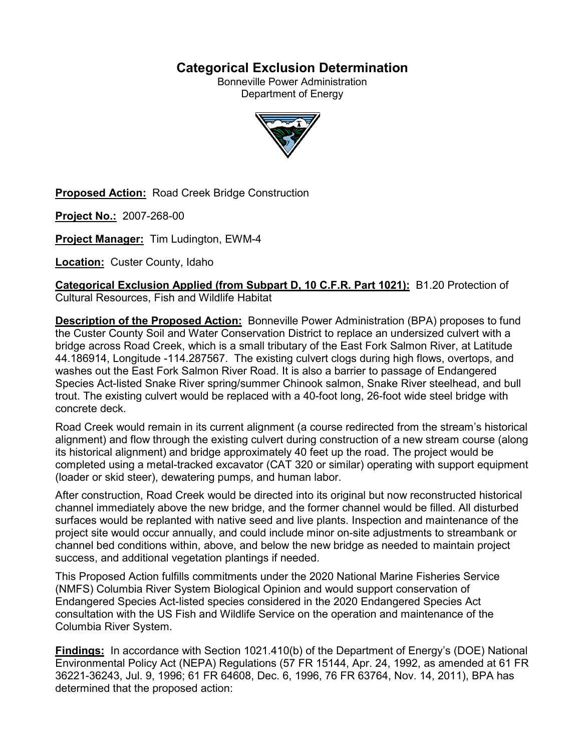# **Categorical Exclusion Determination**

Bonneville Power Administration Department of Energy



**Proposed Action:** Road Creek Bridge Construction

**Project No.:** 2007-268-00

**Project Manager:** Tim Ludington, EWM-4

**Location:** Custer County, Idaho

**Categorical Exclusion Applied (from Subpart D, 10 C.F.R. Part 1021):** B1.20 Protection of Cultural Resources, Fish and Wildlife Habitat

**Description of the Proposed Action:** Bonneville Power Administration (BPA) proposes to fund the Custer County Soil and Water Conservation District to replace an undersized culvert with a bridge across Road Creek, which is a small tributary of the East Fork Salmon River, at Latitude 44.186914, Longitude -114.287567. The existing culvert clogs during high flows, overtops, and washes out the East Fork Salmon River Road. It is also a barrier to passage of Endangered Species Act-listed Snake River spring/summer Chinook salmon, Snake River steelhead, and bull trout. The existing culvert would be replaced with a 40-foot long, 26-foot wide steel bridge with concrete deck.

Road Creek would remain in its current alignment (a course redirected from the stream's historical alignment) and flow through the existing culvert during construction of a new stream course (along its historical alignment) and bridge approximately 40 feet up the road. The project would be completed using a metal-tracked excavator (CAT 320 or similar) operating with support equipment (loader or skid steer), dewatering pumps, and human labor.

After construction, Road Creek would be directed into its original but now reconstructed historical channel immediately above the new bridge, and the former channel would be filled. All disturbed surfaces would be replanted with native seed and live plants. Inspection and maintenance of the project site would occur annually, and could include minor on-site adjustments to streambank or channel bed conditions within, above, and below the new bridge as needed to maintain project success, and additional vegetation plantings if needed.

This Proposed Action fulfills commitments under the 2020 National Marine Fisheries Service (NMFS) Columbia River System Biological Opinion and would support conservation of Endangered Species Act-listed species considered in the 2020 Endangered Species Act consultation with the US Fish and Wildlife Service on the operation and maintenance of the Columbia River System.

**Findings:** In accordance with Section 1021.410(b) of the Department of Energy's (DOE) National Environmental Policy Act (NEPA) Regulations (57 FR 15144, Apr. 24, 1992, as amended at 61 FR 36221-36243, Jul. 9, 1996; 61 FR 64608, Dec. 6, 1996, 76 FR 63764, Nov. 14, 2011), BPA has determined that the proposed action: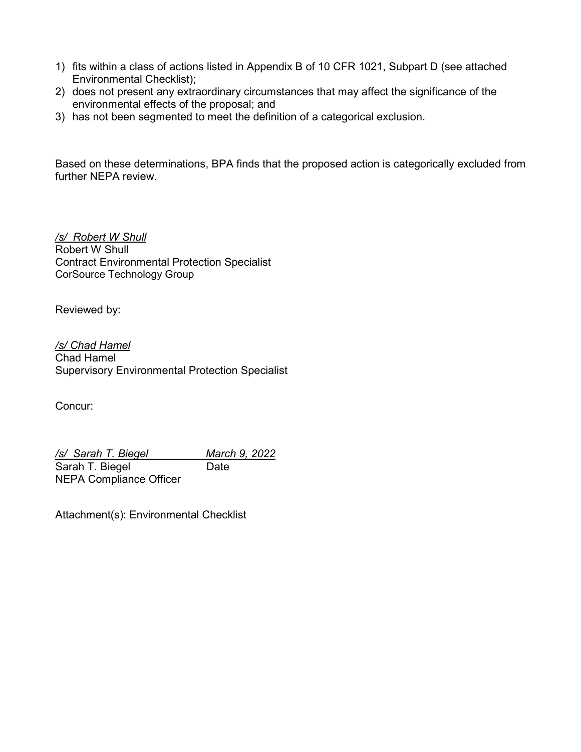- 1) fits within a class of actions listed in Appendix B of 10 CFR 1021, Subpart D (see attached Environmental Checklist);
- 2) does not present any extraordinary circumstances that may affect the significance of the environmental effects of the proposal; and
- 3) has not been segmented to meet the definition of a categorical exclusion.

Based on these determinations, BPA finds that the proposed action is categorically excluded from further NEPA review.

*/s/ Robert W Shull* Robert W Shull Contract Environmental Protection Specialist CorSource Technology Group

Reviewed by:

*/s/ Chad Hamel* Chad Hamel Supervisory Environmental Protection Specialist

Concur:

*/s/ Sarah T. Biegel March 9, 2022*  Sarah T. Biegel Date NEPA Compliance Officer

Attachment(s): Environmental Checklist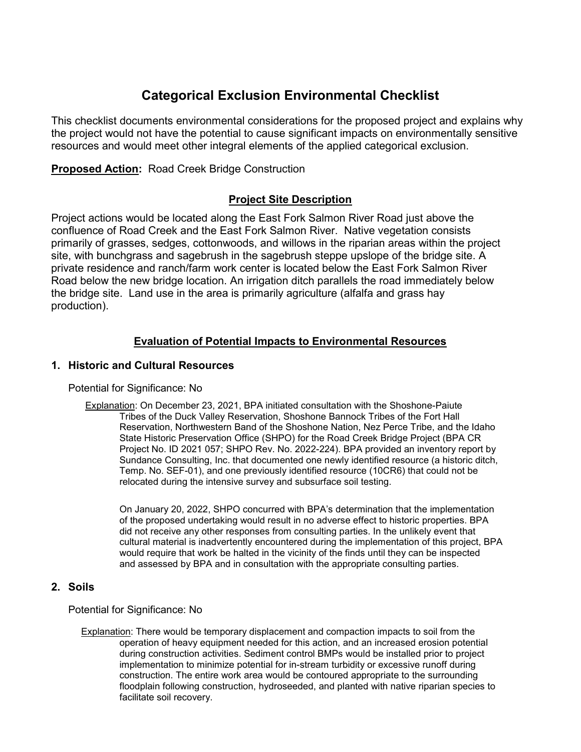# **Categorical Exclusion Environmental Checklist**

This checklist documents environmental considerations for the proposed project and explains why the project would not have the potential to cause significant impacts on environmentally sensitive resources and would meet other integral elements of the applied categorical exclusion.

**Proposed Action:** Road Creek Bridge Construction

# **Project Site Description**

Project actions would be located along the East Fork Salmon River Road just above the confluence of Road Creek and the East Fork Salmon River. Native vegetation consists primarily of grasses, sedges, cottonwoods, and willows in the riparian areas within the project site, with bunchgrass and sagebrush in the sagebrush steppe upslope of the bridge site. A private residence and ranch/farm work center is located below the East Fork Salmon River Road below the new bridge location. An irrigation ditch parallels the road immediately below the bridge site. Land use in the area is primarily agriculture (alfalfa and grass hay production).

# **Evaluation of Potential Impacts to Environmental Resources**

# **1. Historic and Cultural Resources**

Potential for Significance: No

Explanation: On December 23, 2021, BPA initiated consultation with the Shoshone-Paiute Tribes of the Duck Valley Reservation, Shoshone Bannock Tribes of the Fort Hall Reservation, Northwestern Band of the Shoshone Nation, Nez Perce Tribe, and the Idaho State Historic Preservation Office (SHPO) for the Road Creek Bridge Project (BPA CR Project No. ID 2021 057; SHPO Rev. No. 2022-224). BPA provided an inventory report by Sundance Consulting, Inc. that documented one newly identified resource (a historic ditch, Temp. No. SEF-01), and one previously identified resource (10CR6) that could not be relocated during the intensive survey and subsurface soil testing.

On January 20, 2022, SHPO concurred with BPA's determination that the implementation of the proposed undertaking would result in no adverse effect to historic properties. BPA did not receive any other responses from consulting parties. In the unlikely event that cultural material is inadvertently encountered during the implementation of this project, BPA would require that work be halted in the vicinity of the finds until they can be inspected and assessed by BPA and in consultation with the appropriate consulting parties.

## **2. Soils**

Potential for Significance: No

Explanation: There would be temporary displacement and compaction impacts to soil from the operation of heavy equipment needed for this action, and an increased erosion potential during construction activities. Sediment control BMPs would be installed prior to project implementation to minimize potential for in-stream turbidity or excessive runoff during construction. The entire work area would be contoured appropriate to the surrounding floodplain following construction, hydroseeded, and planted with native riparian species to facilitate soil recovery.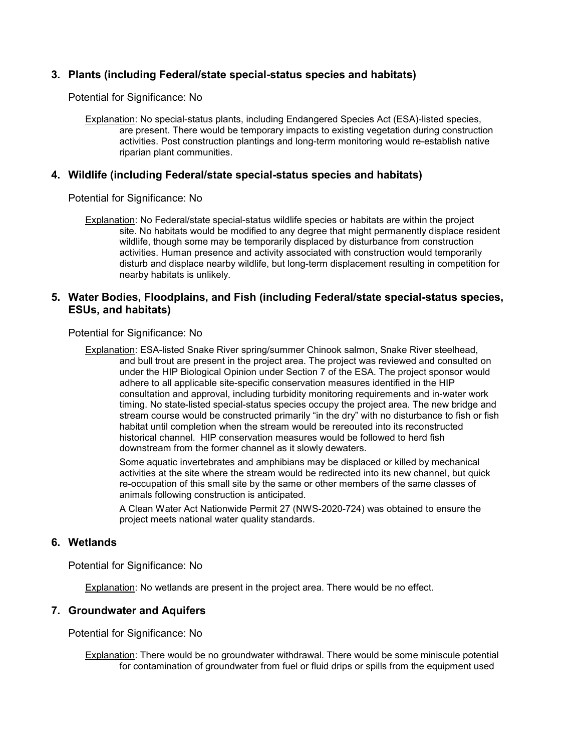## **3. Plants (including Federal/state special-status species and habitats)**

Potential for Significance: No

Explanation: No special-status plants, including Endangered Species Act (ESA)-listed species, are present. There would be temporary impacts to existing vegetation during construction activities. Post construction plantings and long-term monitoring would re-establish native riparian plant communities.

#### **4. Wildlife (including Federal/state special-status species and habitats)**

Potential for Significance: No

Explanation: No Federal/state special-status wildlife species or habitats are within the project site. No habitats would be modified to any degree that might permanently displace resident wildlife, though some may be temporarily displaced by disturbance from construction activities. Human presence and activity associated with construction would temporarily disturb and displace nearby wildlife, but long-term displacement resulting in competition for nearby habitats is unlikely.

### **5. Water Bodies, Floodplains, and Fish (including Federal/state special-status species, ESUs, and habitats)**

Potential for Significance: No

Explanation: ESA-listed Snake River spring/summer Chinook salmon, Snake River steelhead, and bull trout are present in the project area. The project was reviewed and consulted on under the HIP Biological Opinion under Section 7 of the ESA. The project sponsor would adhere to all applicable site-specific conservation measures identified in the HIP consultation and approval, including turbidity monitoring requirements and in-water work timing. No state-listed special-status species occupy the project area. The new bridge and stream course would be constructed primarily "in the dry" with no disturbance to fish or fish habitat until completion when the stream would be rereouted into its reconstructed historical channel. HIP conservation measures would be followed to herd fish downstream from the former channel as it slowly dewaters.

Some aquatic invertebrates and amphibians may be displaced or killed by mechanical activities at the site where the stream would be redirected into its new channel, but quick re-occupation of this small site by the same or other members of the same classes of animals following construction is anticipated.

A Clean Water Act Nationwide Permit 27 (NWS-2020-724) was obtained to ensure the project meets national water quality standards.

#### **6. Wetlands**

Potential for Significance: No

Explanation: No wetlands are present in the project area. There would be no effect.

#### **7. Groundwater and Aquifers**

Potential for Significance: No

Explanation: There would be no groundwater withdrawal. There would be some miniscule potential for contamination of groundwater from fuel or fluid drips or spills from the equipment used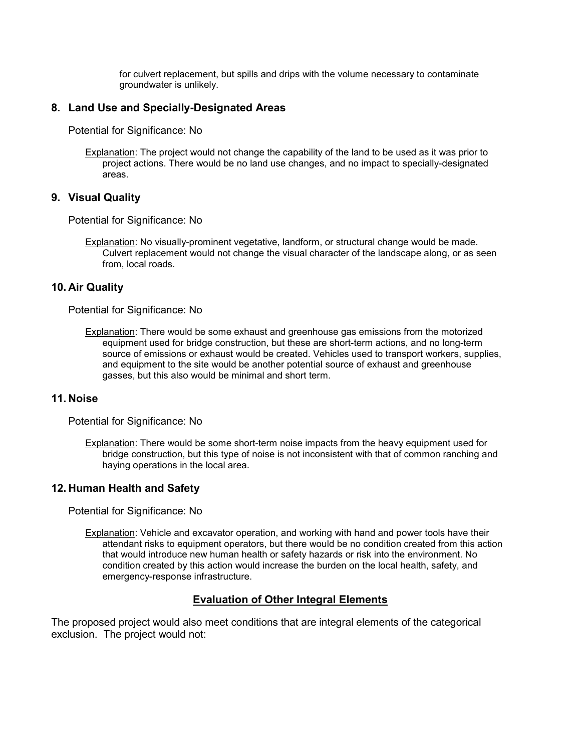for culvert replacement, but spills and drips with the volume necessary to contaminate groundwater is unlikely.

## **8. Land Use and Specially-Designated Areas**

Potential for Significance: No

Explanation: The project would not change the capability of the land to be used as it was prior to project actions. There would be no land use changes, and no impact to specially-designated areas.

#### **9. Visual Quality**

Potential for Significance: No

Explanation: No visually-prominent vegetative, landform, or structural change would be made. Culvert replacement would not change the visual character of the landscape along, or as seen from, local roads.

#### **10. Air Quality**

Potential for Significance: No

Explanation: There would be some exhaust and greenhouse gas emissions from the motorized equipment used for bridge construction, but these are short-term actions, and no long-term source of emissions or exhaust would be created. Vehicles used to transport workers, supplies, and equipment to the site would be another potential source of exhaust and greenhouse gasses, but this also would be minimal and short term.

#### **11. Noise**

Potential for Significance: No

Explanation: There would be some short-term noise impacts from the heavy equipment used for bridge construction, but this type of noise is not inconsistent with that of common ranching and haying operations in the local area.

## **12. Human Health and Safety**

Potential for Significance: No

Explanation: Vehicle and excavator operation, and working with hand and power tools have their attendant risks to equipment operators, but there would be no condition created from this action that would introduce new human health or safety hazards or risk into the environment. No condition created by this action would increase the burden on the local health, safety, and emergency-response infrastructure.

## **Evaluation of Other Integral Elements**

The proposed project would also meet conditions that are integral elements of the categorical exclusion. The project would not: